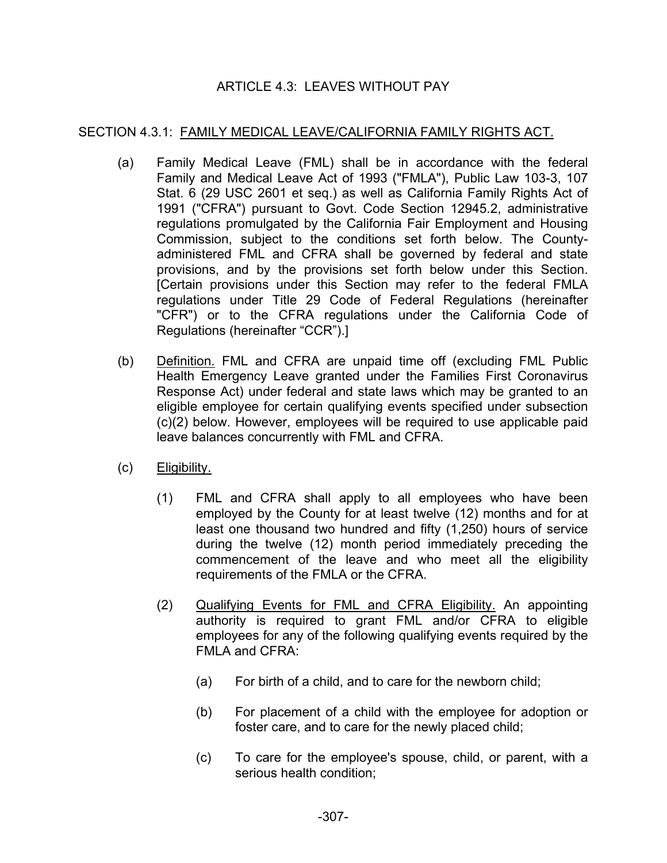# ARTICLE 4.3: LEAVES WITHOUT PAY

## SECTION 4.3.1: FAMILY MEDICAL LEAVE/CALIFORNIA FAMILY RIGHTS ACT.

- (a) Family Medical Leave (FML) shall be in accordance with the federal Family and Medical Leave Act of 1993 ("FMLA"), Public Law 103-3, 107 Stat. 6 (29 USC 2601 et seq.) as well as California Family Rights Act of 1991 ("CFRA") pursuant to Govt. Code Section 12945.2, administrative regulations promulgated by the California Fair Employment and Housing Commission, subject to the conditions set forth below. The Countyadministered FML and CFRA shall be governed by federal and state provisions, and by the provisions set forth below under this Section. [Certain provisions under this Section may refer to the federal FMLA regulations under Title 29 Code of Federal Regulations (hereinafter "CFR") or to the CFRA regulations under the California Code of Regulations (hereinafter "CCR").]
- (b) Definition. FML and CFRA are unpaid time off (excluding FML Public Health Emergency Leave granted under the Families First Coronavirus Response Act) under federal and state laws which may be granted to an eligible employee for certain qualifying events specified under subsection (c)(2) below. However, employees will be required to use applicable paid leave balances concurrently with FML and CFRA.
- (c) Eligibility.
	- (1) FML and CFRA shall apply to all employees who have been employed by the County for at least twelve (12) months and for at least one thousand two hundred and fifty (1,250) hours of service during the twelve (12) month period immediately preceding the commencement of the leave and who meet all the eligibility requirements of the FMLA or the CFRA.
	- (2) Qualifying Events for FML and CFRA Eligibility. An appointing authority is required to grant FML and/or CFRA to eligible employees for any of the following qualifying events required by the FMLA and CFRA:
		- (a) For birth of a child, and to care for the newborn child;
		- (b) For placement of a child with the employee for adoption or foster care, and to care for the newly placed child;
		- (c) To care for the employee's spouse, child, or parent, with a serious health condition;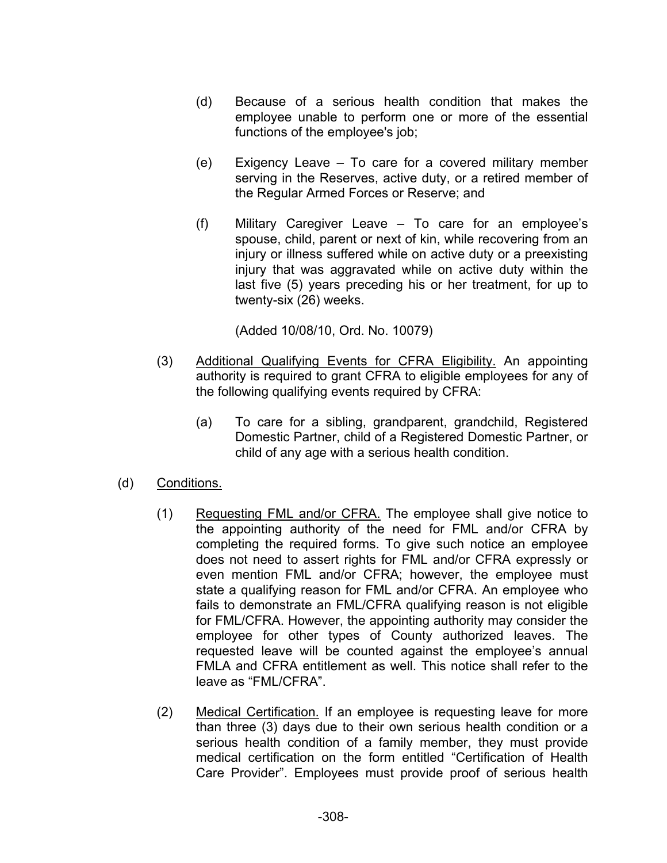- (d) Because of a serious health condition that makes the employee unable to perform one or more of the essential functions of the employee's job;
- (e) Exigency Leave To care for a covered military member serving in the Reserves, active duty, or a retired member of the Regular Armed Forces or Reserve; and
- (f) Military Caregiver Leave To care for an employee's spouse, child, parent or next of kin, while recovering from an injury or illness suffered while on active duty or a preexisting injury that was aggravated while on active duty within the last five (5) years preceding his or her treatment, for up to twenty-six (26) weeks.

(Added 10/08/10, Ord. No. 10079)

- (3) Additional Qualifying Events for CFRA Eligibility. An appointing authority is required to grant CFRA to eligible employees for any of the following qualifying events required by CFRA:
	- (a) To care for a sibling, grandparent, grandchild, Registered Domestic Partner, child of a Registered Domestic Partner, or child of any age with a serious health condition.
- (d) Conditions.
	- (1) Requesting FML and/or CFRA. The employee shall give notice to the appointing authority of the need for FML and/or CFRA by completing the required forms. To give such notice an employee does not need to assert rights for FML and/or CFRA expressly or even mention FML and/or CFRA; however, the employee must state a qualifying reason for FML and/or CFRA. An employee who fails to demonstrate an FML/CFRA qualifying reason is not eligible for FML/CFRA. However, the appointing authority may consider the employee for other types of County authorized leaves. The requested leave will be counted against the employee's annual FMLA and CFRA entitlement as well. This notice shall refer to the leave as "FML/CFRA".
	- (2) Medical Certification. If an employee is requesting leave for more than three (3) days due to their own serious health condition or a serious health condition of a family member, they must provide medical certification on the form entitled "Certification of Health Care Provider". Employees must provide proof of serious health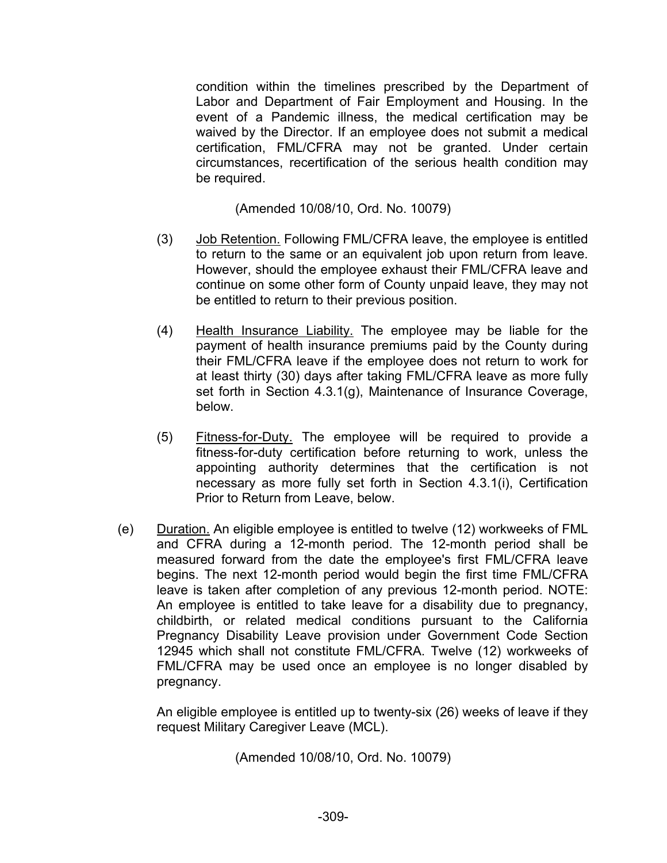condition within the timelines prescribed by the Department of Labor and Department of Fair Employment and Housing. In the event of a Pandemic illness, the medical certification may be waived by the Director. If an employee does not submit a medical certification, FML/CFRA may not be granted. Under certain circumstances, recertification of the serious health condition may be required.

(Amended 10/08/10, Ord. No. 10079)

- (3) Job Retention. Following FML/CFRA leave, the employee is entitled to return to the same or an equivalent job upon return from leave. However, should the employee exhaust their FML/CFRA leave and continue on some other form of County unpaid leave, they may not be entitled to return to their previous position.
- (4) Health Insurance Liability. The employee may be liable for the payment of health insurance premiums paid by the County during their FML/CFRA leave if the employee does not return to work for at least thirty (30) days after taking FML/CFRA leave as more fully set forth in Section 4.3.1(g), Maintenance of Insurance Coverage, below.
- (5) Fitness-for-Duty. The employee will be required to provide a fitness-for-duty certification before returning to work, unless the appointing authority determines that the certification is not necessary as more fully set forth in Section 4.3.1(i), Certification Prior to Return from Leave, below.
- (e) Duration. An eligible employee is entitled to twelve (12) workweeks of FML and CFRA during a 12-month period. The 12-month period shall be measured forward from the date the employee's first FML/CFRA leave begins. The next 12-month period would begin the first time FML/CFRA leave is taken after completion of any previous 12-month period. NOTE: An employee is entitled to take leave for a disability due to pregnancy, childbirth, or related medical conditions pursuant to the California Pregnancy Disability Leave provision under Government Code Section 12945 which shall not constitute FML/CFRA. Twelve (12) workweeks of FML/CFRA may be used once an employee is no longer disabled by pregnancy.

An eligible employee is entitled up to twenty-six (26) weeks of leave if they request Military Caregiver Leave (MCL).

(Amended 10/08/10, Ord. No. 10079)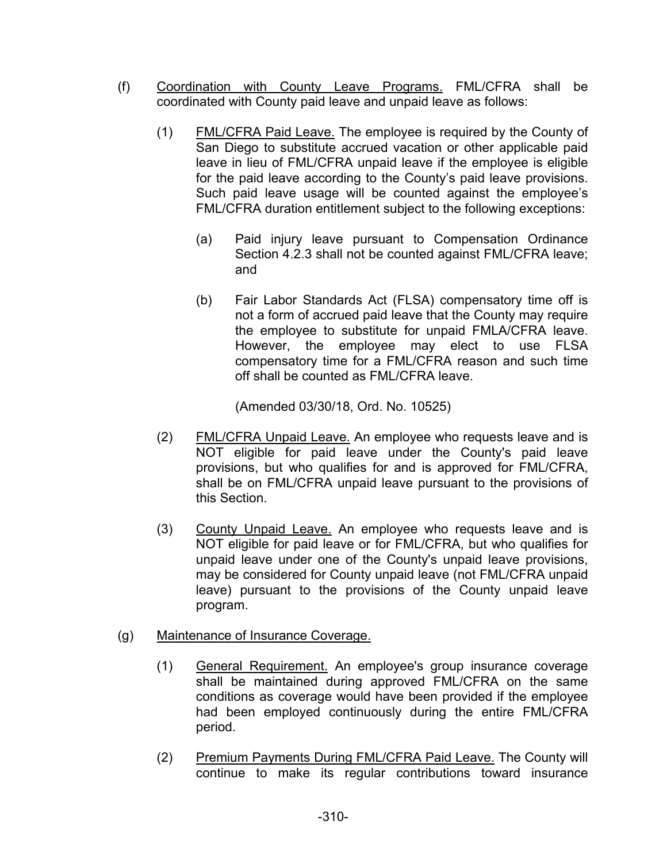- (f) Coordination with County Leave Programs. FML/CFRA shall be coordinated with County paid leave and unpaid leave as follows:
	- (1) FML/CFRA Paid Leave. The employee is required by the County of San Diego to substitute accrued vacation or other applicable paid leave in lieu of FML/CFRA unpaid leave if the employee is eligible for the paid leave according to the County's paid leave provisions. Such paid leave usage will be counted against the employee's FML/CFRA duration entitlement subject to the following exceptions:
		- (a) Paid injury leave pursuant to Compensation Ordinance Section 4.2.3 shall not be counted against FML/CFRA leave; and
		- (b) Fair Labor Standards Act (FLSA) compensatory time off is not a form of accrued paid leave that the County may require the employee to substitute for unpaid FMLA/CFRA leave. However, the employee may elect to use FLSA compensatory time for a FML/CFRA reason and such time off shall be counted as FML/CFRA leave.

(Amended 03/30/18, Ord. No. 10525)

- (2) FML/CFRA Unpaid Leave. An employee who requests leave and is NOT eligible for paid leave under the County's paid leave provisions, but who qualifies for and is approved for FML/CFRA, shall be on FML/CFRA unpaid leave pursuant to the provisions of this Section.
- (3) County Unpaid Leave. An employee who requests leave and is NOT eligible for paid leave or for FML/CFRA, but who qualifies for unpaid leave under one of the County's unpaid leave provisions, may be considered for County unpaid leave (not FML/CFRA unpaid leave) pursuant to the provisions of the County unpaid leave program.

# (g) Maintenance of Insurance Coverage.

- (1) General Requirement. An employee's group insurance coverage shall be maintained during approved FML/CFRA on the same conditions as coverage would have been provided if the employee had been employed continuously during the entire FML/CFRA period.
- (2) Premium Payments During FML/CFRA Paid Leave. The County will continue to make its regular contributions toward insurance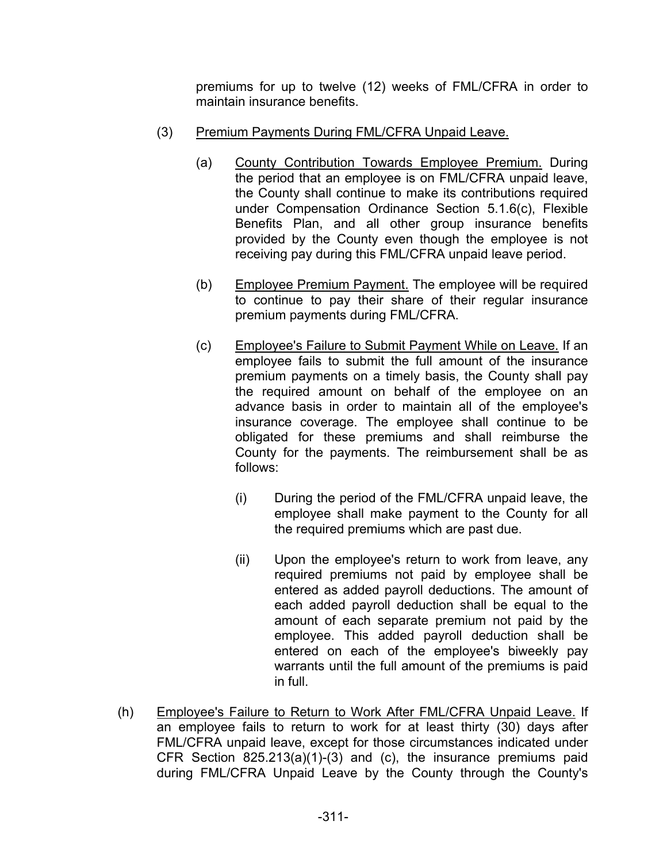premiums for up to twelve (12) weeks of FML/CFRA in order to maintain insurance benefits.

- (3) Premium Payments During FML/CFRA Unpaid Leave.
	- (a) County Contribution Towards Employee Premium. During the period that an employee is on FML/CFRA unpaid leave, the County shall continue to make its contributions required under Compensation Ordinance Section 5.1.6(c), Flexible Benefits Plan, and all other group insurance benefits provided by the County even though the employee is not receiving pay during this FML/CFRA unpaid leave period.
	- (b) Employee Premium Payment. The employee will be required to continue to pay their share of their regular insurance premium payments during FML/CFRA.
	- (c) Employee's Failure to Submit Payment While on Leave. If an employee fails to submit the full amount of the insurance premium payments on a timely basis, the County shall pay the required amount on behalf of the employee on an advance basis in order to maintain all of the employee's insurance coverage. The employee shall continue to be obligated for these premiums and shall reimburse the County for the payments. The reimbursement shall be as follows:
		- (i) During the period of the FML/CFRA unpaid leave, the employee shall make payment to the County for all the required premiums which are past due.
		- (ii) Upon the employee's return to work from leave, any required premiums not paid by employee shall be entered as added payroll deductions. The amount of each added payroll deduction shall be equal to the amount of each separate premium not paid by the employee. This added payroll deduction shall be entered on each of the employee's biweekly pay warrants until the full amount of the premiums is paid in full.
- (h) Employee's Failure to Return to Work After FML/CFRA Unpaid Leave. If an employee fails to return to work for at least thirty (30) days after FML/CFRA unpaid leave, except for those circumstances indicated under CFR Section 825.213(a)(1)-(3) and (c), the insurance premiums paid during FML/CFRA Unpaid Leave by the County through the County's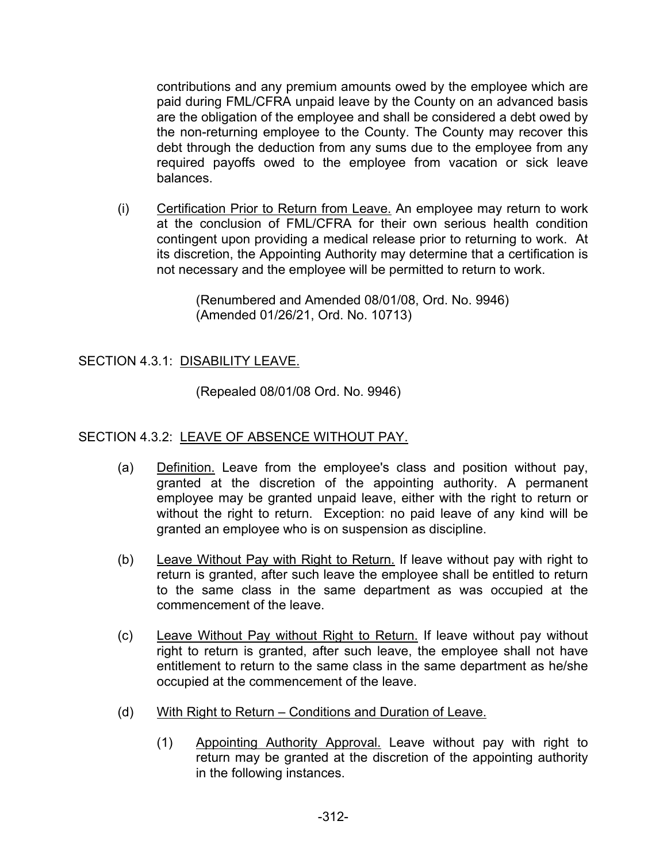contributions and any premium amounts owed by the employee which are paid during FML/CFRA unpaid leave by the County on an advanced basis are the obligation of the employee and shall be considered a debt owed by the non-returning employee to the County. The County may recover this debt through the deduction from any sums due to the employee from any required payoffs owed to the employee from vacation or sick leave balances.

(i) Certification Prior to Return from Leave. An employee may return to work at the conclusion of FML/CFRA for their own serious health condition contingent upon providing a medical release prior to returning to work. At its discretion, the Appointing Authority may determine that a certification is not necessary and the employee will be permitted to return to work.

> (Renumbered and Amended 08/01/08, Ord. No. 9946) (Amended 01/26/21, Ord. No. 10713)

# SECTION 4.3.1: DISABILITY LEAVE.

(Repealed 08/01/08 Ord. No. 9946)

# SECTION 4.3.2: LEAVE OF ABSENCE WITHOUT PAY.

- (a) Definition. Leave from the employee's class and position without pay, granted at the discretion of the appointing authority. A permanent employee may be granted unpaid leave, either with the right to return or without the right to return. Exception: no paid leave of any kind will be granted an employee who is on suspension as discipline.
- (b) Leave Without Pay with Right to Return. If leave without pay with right to return is granted, after such leave the employee shall be entitled to return to the same class in the same department as was occupied at the commencement of the leave.
- (c) Leave Without Pay without Right to Return. If leave without pay without right to return is granted, after such leave, the employee shall not have entitlement to return to the same class in the same department as he/she occupied at the commencement of the leave.
- (d) With Right to Return Conditions and Duration of Leave.
	- (1) Appointing Authority Approval. Leave without pay with right to return may be granted at the discretion of the appointing authority in the following instances.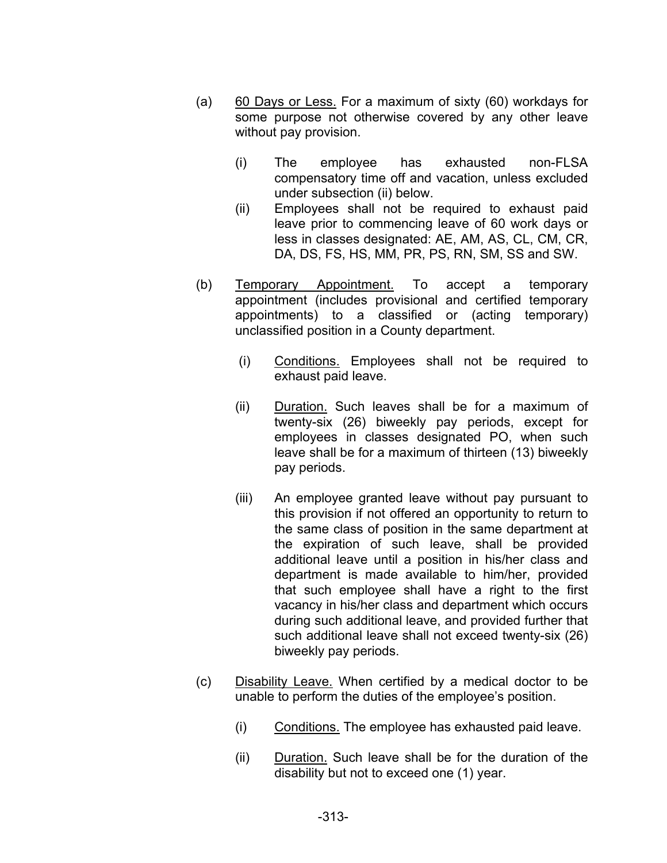- (a) 60 Days or Less. For a maximum of sixty (60) workdays for some purpose not otherwise covered by any other leave without pay provision.
	- (i) The employee has exhausted non-FLSA compensatory time off and vacation, unless excluded under subsection (ii) below.
	- (ii) Employees shall not be required to exhaust paid leave prior to commencing leave of 60 work days or less in classes designated: AE, AM, AS, CL, CM, CR, DA, DS, FS, HS, MM, PR, PS, RN, SM, SS and SW.
- (b) Temporary Appointment. To accept a temporary appointment (includes provisional and certified temporary appointments) to a classified or (acting temporary) unclassified position in a County department.
	- (i) Conditions. Employees shall not be required to exhaust paid leave.
	- (ii) Duration. Such leaves shall be for a maximum of twenty-six (26) biweekly pay periods, except for employees in classes designated PO, when such leave shall be for a maximum of thirteen (13) biweekly pay periods.
	- (iii) An employee granted leave without pay pursuant to this provision if not offered an opportunity to return to the same class of position in the same department at the expiration of such leave, shall be provided additional leave until a position in his/her class and department is made available to him/her, provided that such employee shall have a right to the first vacancy in his/her class and department which occurs during such additional leave, and provided further that such additional leave shall not exceed twenty-six (26) biweekly pay periods.
- (c) Disability Leave. When certified by a medical doctor to be unable to perform the duties of the employee's position.
	- (i) Conditions. The employee has exhausted paid leave.
	- (ii) Duration. Such leave shall be for the duration of the disability but not to exceed one (1) year.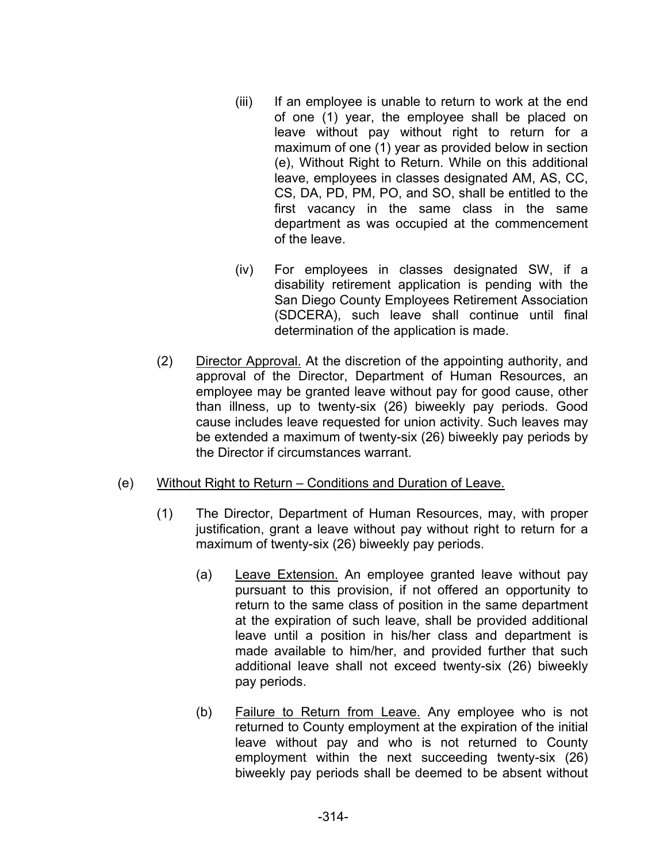- (iii) If an employee is unable to return to work at the end of one (1) year, the employee shall be placed on leave without pay without right to return for a maximum of one (1) year as provided below in section (e), Without Right to Return. While on this additional leave, employees in classes designated AM, AS, CC, CS, DA, PD, PM, PO, and SO, shall be entitled to the first vacancy in the same class in the same department as was occupied at the commencement of the leave.
- (iv) For employees in classes designated SW, if a disability retirement application is pending with the San Diego County Employees Retirement Association (SDCERA), such leave shall continue until final determination of the application is made.
- (2) Director Approval. At the discretion of the appointing authority, and approval of the Director, Department of Human Resources, an employee may be granted leave without pay for good cause, other than illness, up to twenty-six (26) biweekly pay periods. Good cause includes leave requested for union activity. Such leaves may be extended a maximum of twenty-six (26) biweekly pay periods by the Director if circumstances warrant.
- (e) Without Right to Return Conditions and Duration of Leave.
	- (1) The Director, Department of Human Resources, may, with proper justification, grant a leave without pay without right to return for a maximum of twenty-six (26) biweekly pay periods.
		- (a) Leave Extension. An employee granted leave without pay pursuant to this provision, if not offered an opportunity to return to the same class of position in the same department at the expiration of such leave, shall be provided additional leave until a position in his/her class and department is made available to him/her, and provided further that such additional leave shall not exceed twenty-six (26) biweekly pay periods.
		- (b) Failure to Return from Leave. Any employee who is not returned to County employment at the expiration of the initial leave without pay and who is not returned to County employment within the next succeeding twenty-six (26) biweekly pay periods shall be deemed to be absent without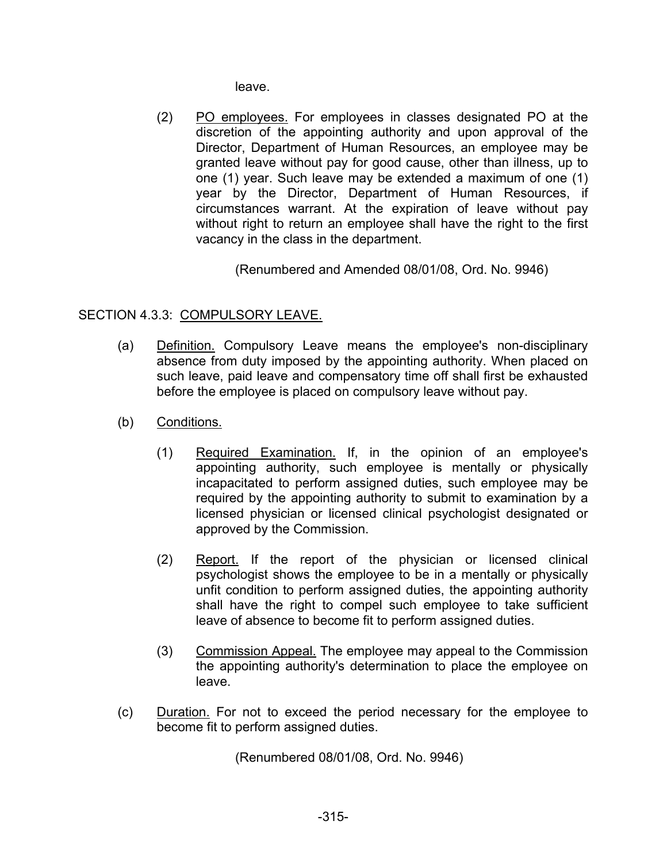leave.

(2) PO employees. For employees in classes designated PO at the discretion of the appointing authority and upon approval of the Director, Department of Human Resources, an employee may be granted leave without pay for good cause, other than illness, up to one (1) year. Such leave may be extended a maximum of one (1) year by the Director, Department of Human Resources, if circumstances warrant. At the expiration of leave without pay without right to return an employee shall have the right to the first vacancy in the class in the department.

(Renumbered and Amended 08/01/08, Ord. No. 9946)

# SECTION 4.3.3: COMPULSORY LEAVE.

- (a) Definition. Compulsory Leave means the employee's non-disciplinary absence from duty imposed by the appointing authority. When placed on such leave, paid leave and compensatory time off shall first be exhausted before the employee is placed on compulsory leave without pay.
- (b) Conditions.
	- (1) Required Examination. If, in the opinion of an employee's appointing authority, such employee is mentally or physically incapacitated to perform assigned duties, such employee may be required by the appointing authority to submit to examination by a licensed physician or licensed clinical psychologist designated or approved by the Commission.
	- (2) Report. If the report of the physician or licensed clinical psychologist shows the employee to be in a mentally or physically unfit condition to perform assigned duties, the appointing authority shall have the right to compel such employee to take sufficient leave of absence to become fit to perform assigned duties.
	- (3) Commission Appeal. The employee may appeal to the Commission the appointing authority's determination to place the employee on leave.
- (c) Duration. For not to exceed the period necessary for the employee to become fit to perform assigned duties.

(Renumbered 08/01/08, Ord. No. 9946)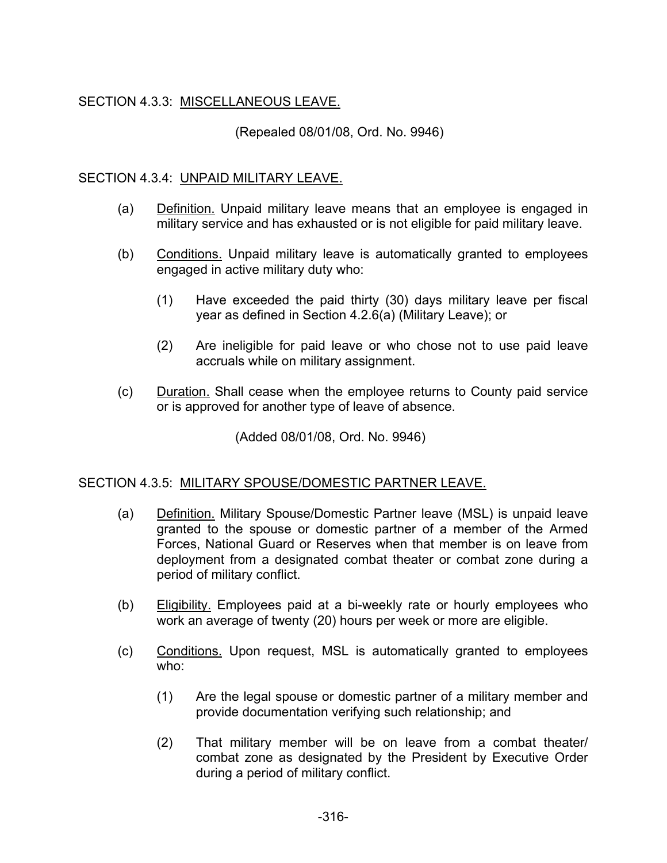# SECTION 4.3.3: MISCELLANEOUS LEAVE.

(Repealed 08/01/08, Ord. No. 9946)

### SECTION 4.3.4: UNPAID MILITARY LEAVE.

- (a) Definition. Unpaid military leave means that an employee is engaged in military service and has exhausted or is not eligible for paid military leave.
- (b) Conditions. Unpaid military leave is automatically granted to employees engaged in active military duty who:
	- (1) Have exceeded the paid thirty (30) days military leave per fiscal year as defined in Section 4.2.6(a) (Military Leave); or
	- (2) Are ineligible for paid leave or who chose not to use paid leave accruals while on military assignment.
- (c) Duration. Shall cease when the employee returns to County paid service or is approved for another type of leave of absence.

(Added 08/01/08, Ord. No. 9946)

#### SECTION 4.3.5: MILITARY SPOUSE/DOMESTIC PARTNER LEAVE.

- (a) Definition. Military Spouse/Domestic Partner leave (MSL) is unpaid leave granted to the spouse or domestic partner of a member of the Armed Forces, National Guard or Reserves when that member is on leave from deployment from a designated combat theater or combat zone during a period of military conflict.
- (b) Eligibility. Employees paid at a bi-weekly rate or hourly employees who work an average of twenty (20) hours per week or more are eligible.
- (c) Conditions. Upon request, MSL is automatically granted to employees who:
	- (1) Are the legal spouse or domestic partner of a military member and provide documentation verifying such relationship; and
	- (2) That military member will be on leave from a combat theater/ combat zone as designated by the President by Executive Order during a period of military conflict.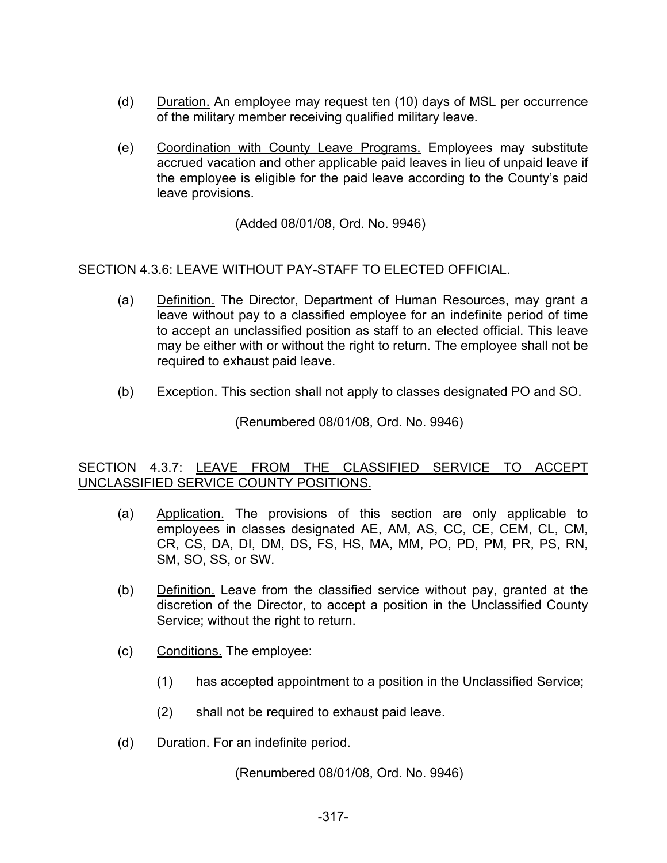- (d) Duration. An employee may request ten (10) days of MSL per occurrence of the military member receiving qualified military leave.
- (e) Coordination with County Leave Programs. Employees may substitute accrued vacation and other applicable paid leaves in lieu of unpaid leave if the employee is eligible for the paid leave according to the County's paid leave provisions.

(Added 08/01/08, Ord. No. 9946)

# SECTION 4.3.6: LEAVE WITHOUT PAY-STAFF TO ELECTED OFFICIAL.

- (a) Definition. The Director, Department of Human Resources, may grant a leave without pay to a classified employee for an indefinite period of time to accept an unclassified position as staff to an elected official. This leave may be either with or without the right to return. The employee shall not be required to exhaust paid leave.
- (b) Exception. This section shall not apply to classes designated PO and SO.

(Renumbered 08/01/08, Ord. No. 9946)

# SECTION 4.3.7: LEAVE FROM THE CLASSIFIED SERVICE TO ACCEPT UNCLASSIFIED SERVICE COUNTY POSITIONS.

- (a) Application. The provisions of this section are only applicable to employees in classes designated AE, AM, AS, CC, CE, CEM, CL, CM, CR, CS, DA, DI, DM, DS, FS, HS, MA, MM, PO, PD, PM, PR, PS, RN, SM, SO, SS, or SW.
- (b) Definition. Leave from the classified service without pay, granted at the discretion of the Director, to accept a position in the Unclassified County Service; without the right to return.
- (c) Conditions. The employee:
	- (1) has accepted appointment to a position in the Unclassified Service;
	- (2) shall not be required to exhaust paid leave.
- (d) Duration. For an indefinite period.

(Renumbered 08/01/08, Ord. No. 9946)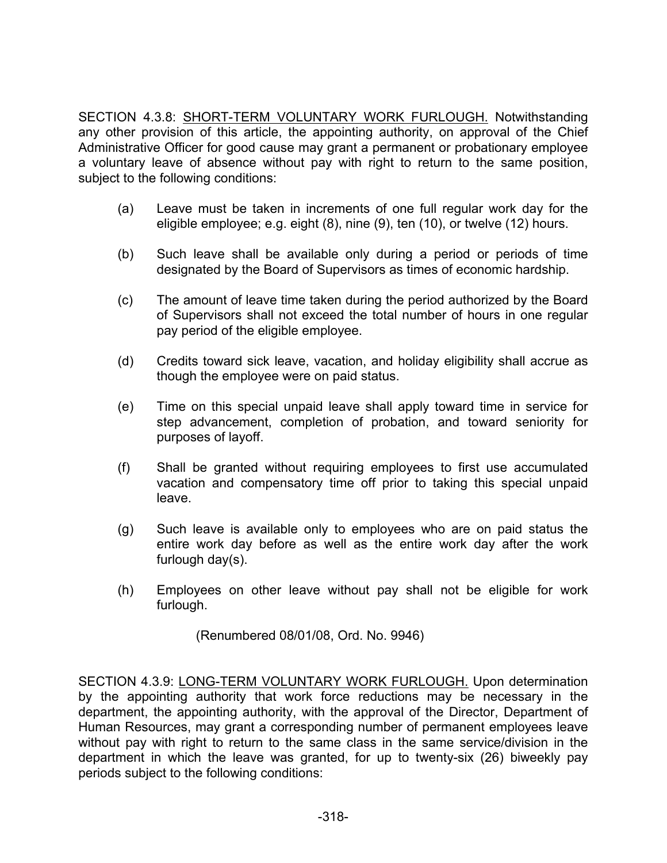SECTION 4.3.8: SHORT-TERM VOLUNTARY WORK FURLOUGH. Notwithstanding any other provision of this article, the appointing authority, on approval of the Chief Administrative Officer for good cause may grant a permanent or probationary employee a voluntary leave of absence without pay with right to return to the same position, subject to the following conditions:

- (a) Leave must be taken in increments of one full regular work day for the eligible employee; e.g. eight (8), nine (9), ten (10), or twelve (12) hours.
- (b) Such leave shall be available only during a period or periods of time designated by the Board of Supervisors as times of economic hardship.
- (c) The amount of leave time taken during the period authorized by the Board of Supervisors shall not exceed the total number of hours in one regular pay period of the eligible employee.
- (d) Credits toward sick leave, vacation, and holiday eligibility shall accrue as though the employee were on paid status.
- (e) Time on this special unpaid leave shall apply toward time in service for step advancement, completion of probation, and toward seniority for purposes of layoff.
- (f) Shall be granted without requiring employees to first use accumulated vacation and compensatory time off prior to taking this special unpaid leave.
- (g) Such leave is available only to employees who are on paid status the entire work day before as well as the entire work day after the work furlough day(s).
- (h) Employees on other leave without pay shall not be eligible for work furlough.

(Renumbered 08/01/08, Ord. No. 9946)

SECTION 4.3.9: LONG-TERM VOLUNTARY WORK FURLOUGH. Upon determination by the appointing authority that work force reductions may be necessary in the department, the appointing authority, with the approval of the Director, Department of Human Resources, may grant a corresponding number of permanent employees leave without pay with right to return to the same class in the same service/division in the department in which the leave was granted, for up to twenty-six (26) biweekly pay periods subject to the following conditions: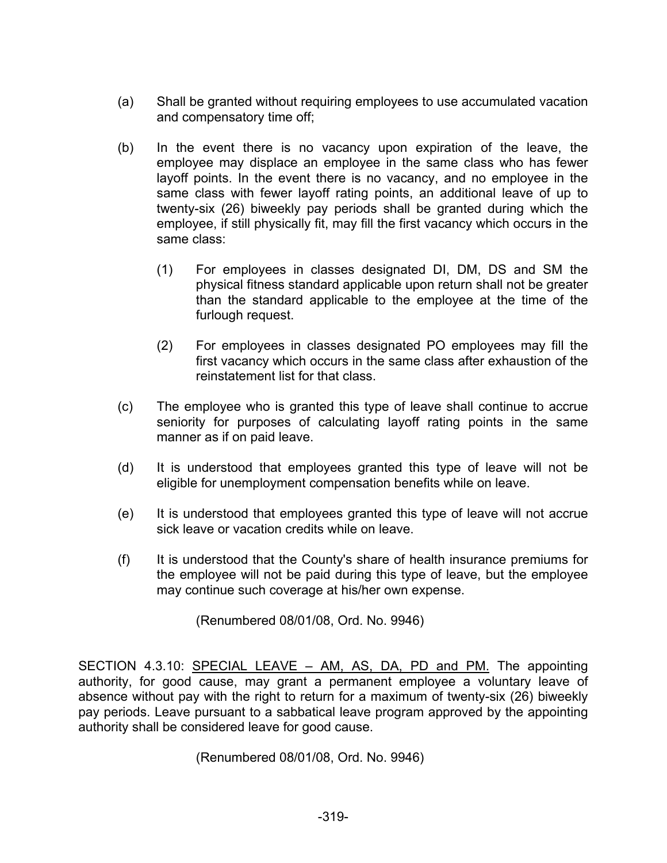- (a) Shall be granted without requiring employees to use accumulated vacation and compensatory time off;
- (b) In the event there is no vacancy upon expiration of the leave, the employee may displace an employee in the same class who has fewer layoff points. In the event there is no vacancy, and no employee in the same class with fewer layoff rating points, an additional leave of up to twenty-six (26) biweekly pay periods shall be granted during which the employee, if still physically fit, may fill the first vacancy which occurs in the same class:
	- (1) For employees in classes designated DI, DM, DS and SM the physical fitness standard applicable upon return shall not be greater than the standard applicable to the employee at the time of the furlough request.
	- (2) For employees in classes designated PO employees may fill the first vacancy which occurs in the same class after exhaustion of the reinstatement list for that class.
- (c) The employee who is granted this type of leave shall continue to accrue seniority for purposes of calculating layoff rating points in the same manner as if on paid leave.
- (d) It is understood that employees granted this type of leave will not be eligible for unemployment compensation benefits while on leave.
- (e) It is understood that employees granted this type of leave will not accrue sick leave or vacation credits while on leave.
- (f) It is understood that the County's share of health insurance premiums for the employee will not be paid during this type of leave, but the employee may continue such coverage at his/her own expense.

(Renumbered 08/01/08, Ord. No. 9946)

SECTION 4.3.10: SPECIAL LEAVE – AM, AS, DA, PD and PM. The appointing authority, for good cause, may grant a permanent employee a voluntary leave of absence without pay with the right to return for a maximum of twenty-six (26) biweekly pay periods. Leave pursuant to a sabbatical leave program approved by the appointing authority shall be considered leave for good cause.

(Renumbered 08/01/08, Ord. No. 9946)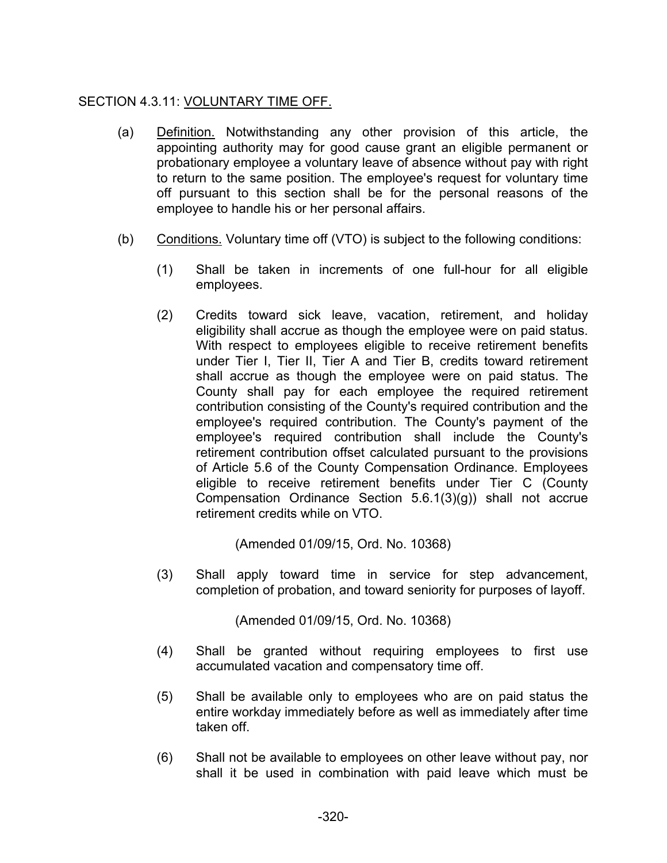# SECTION 4.3.11: VOLUNTARY TIME OFF.

- (a) Definition. Notwithstanding any other provision of this article, the appointing authority may for good cause grant an eligible permanent or probationary employee a voluntary leave of absence without pay with right to return to the same position. The employee's request for voluntary time off pursuant to this section shall be for the personal reasons of the employee to handle his or her personal affairs.
- (b) Conditions. Voluntary time off (VTO) is subject to the following conditions:
	- (1) Shall be taken in increments of one full-hour for all eligible employees.
	- (2) Credits toward sick leave, vacation, retirement, and holiday eligibility shall accrue as though the employee were on paid status. With respect to employees eligible to receive retirement benefits under Tier I, Tier II, Tier A and Tier B, credits toward retirement shall accrue as though the employee were on paid status. The County shall pay for each employee the required retirement contribution consisting of the County's required contribution and the employee's required contribution. The County's payment of the employee's required contribution shall include the County's retirement contribution offset calculated pursuant to the provisions of Article 5.6 of the County Compensation Ordinance. Employees eligible to receive retirement benefits under Tier C (County Compensation Ordinance Section 5.6.1(3)(g)) shall not accrue retirement credits while on VTO.

(Amended 01/09/15, Ord. No. 10368)

(3) Shall apply toward time in service for step advancement, completion of probation, and toward seniority for purposes of layoff.

(Amended 01/09/15, Ord. No. 10368)

- (4) Shall be granted without requiring employees to first use accumulated vacation and compensatory time off.
- (5) Shall be available only to employees who are on paid status the entire workday immediately before as well as immediately after time taken off.
- (6) Shall not be available to employees on other leave without pay, nor shall it be used in combination with paid leave which must be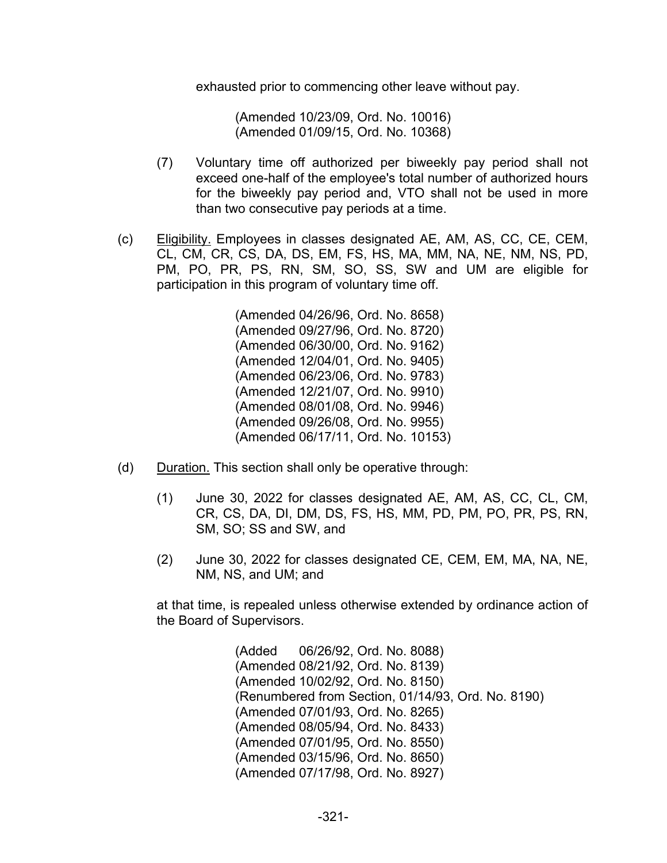exhausted prior to commencing other leave without pay.

(Amended 10/23/09, Ord. No. 10016) (Amended 01/09/15, Ord. No. 10368)

- (7) Voluntary time off authorized per biweekly pay period shall not exceed one-half of the employee's total number of authorized hours for the biweekly pay period and, VTO shall not be used in more than two consecutive pay periods at a time.
- (c) Eligibility. Employees in classes designated AE, AM, AS, CC, CE, CEM, CL, CM, CR, CS, DA, DS, EM, FS, HS, MA, MM, NA, NE, NM, NS, PD, PM, PO, PR, PS, RN, SM, SO, SS, SW and UM are eligible for participation in this program of voluntary time off.

(Amended 04/26/96, Ord. No. 8658) (Amended 09/27/96, Ord. No. 8720) (Amended 06/30/00, Ord. No. 9162) (Amended 12/04/01, Ord. No. 9405) (Amended 06/23/06, Ord. No. 9783) (Amended 12/21/07, Ord. No. 9910) (Amended 08/01/08, Ord. No. 9946) (Amended 09/26/08, Ord. No. 9955) (Amended 06/17/11, Ord. No. 10153)

- (d) Duration. This section shall only be operative through:
	- (1) June 30, 2022 for classes designated AE, AM, AS, CC, CL, CM, CR, CS, DA, DI, DM, DS, FS, HS, MM, PD, PM, PO, PR, PS, RN, SM, SO; SS and SW, and
	- (2) June 30, 2022 for classes designated CE, CEM, EM, MA, NA, NE, NM, NS, and UM; and

at that time, is repealed unless otherwise extended by ordinance action of the Board of Supervisors.

> (Added 06/26/92, Ord. No. 8088) (Amended 08/21/92, Ord. No. 8139) (Amended 10/02/92, Ord. No. 8150) (Renumbered from Section, 01/14/93, Ord. No. 8190) (Amended 07/01/93, Ord. No. 8265) (Amended 08/05/94, Ord. No. 8433) (Amended 07/01/95, Ord. No. 8550) (Amended 03/15/96, Ord. No. 8650) (Amended 07/17/98, Ord. No. 8927)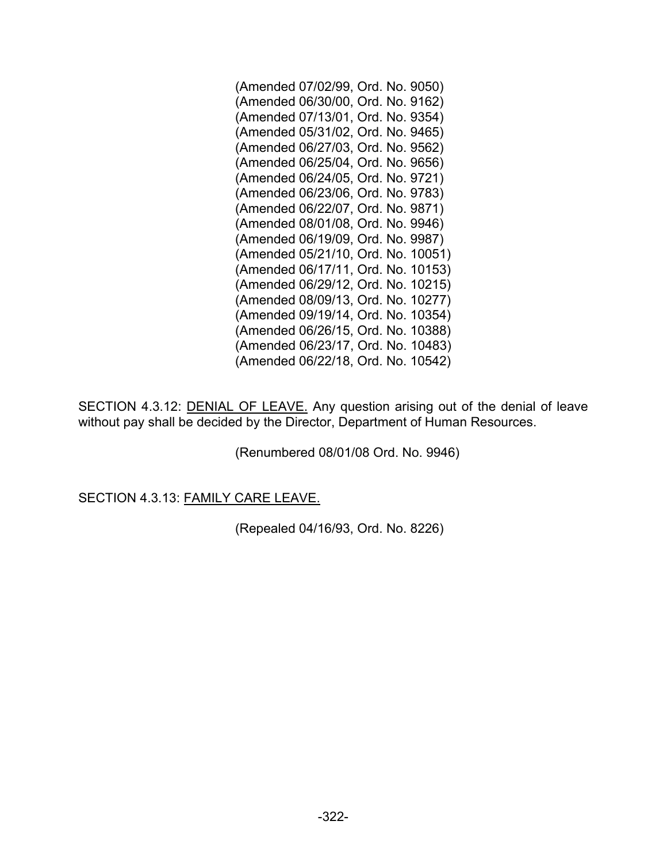| (Amended 07/02/99, Ord. No. 9050)  |
|------------------------------------|
| (Amended 06/30/00, Ord. No. 9162)  |
| (Amended 07/13/01, Ord. No. 9354)  |
| (Amended 05/31/02, Ord. No. 9465)  |
| (Amended 06/27/03, Ord. No. 9562)  |
| (Amended 06/25/04, Ord. No. 9656)  |
| (Amended 06/24/05, Ord. No. 9721)  |
| (Amended 06/23/06, Ord. No. 9783)  |
| (Amended 06/22/07, Ord. No. 9871)  |
| (Amended 08/01/08, Ord. No. 9946)  |
| (Amended 06/19/09, Ord. No. 9987)  |
| (Amended 05/21/10, Ord. No. 10051) |
| (Amended 06/17/11, Ord. No. 10153) |
| (Amended 06/29/12, Ord. No. 10215) |
| (Amended 08/09/13, Ord. No. 10277) |
| (Amended 09/19/14, Ord. No. 10354) |
| (Amended 06/26/15, Ord. No. 10388) |
| (Amended 06/23/17, Ord. No. 10483) |
| (Amended 06/22/18, Ord. No. 10542) |

SECTION 4.3.12: **DENIAL OF LEAVE.** Any question arising out of the denial of leave without pay shall be decided by the Director, Department of Human Resources.

(Renumbered 08/01/08 Ord. No. 9946)

SECTION 4.3.13: FAMILY CARE LEAVE.

(Repealed 04/16/93, Ord. No. 8226)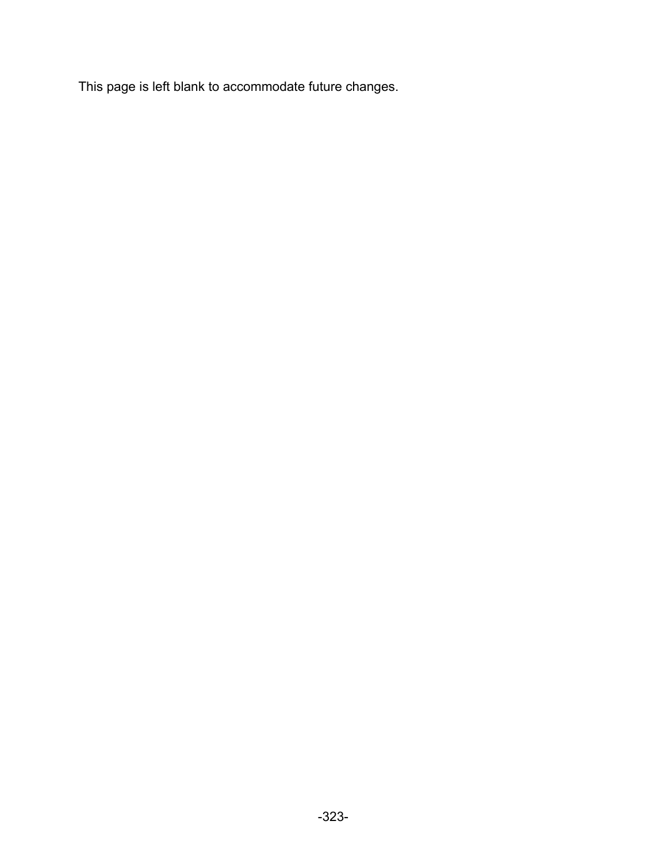This page is left blank to accommodate future changes.